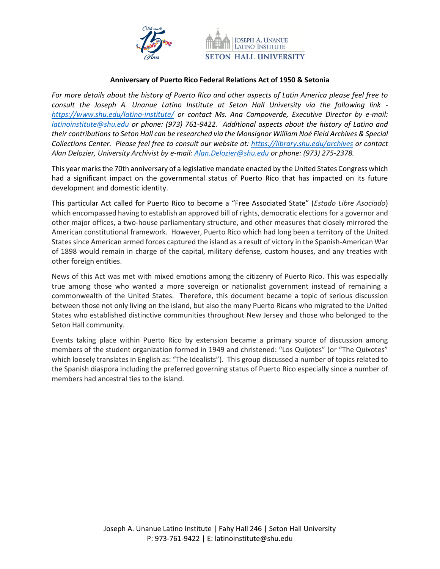



### **Anniversary of Puerto Rico Federal Relations Act of 1950 & Setonia**

*For more details about the history of Puerto Rico and other aspects of Latin America please feel free to consult the Joseph A. Unanue Latino Institute at Seton Hall University via the following link <https://www.shu.edu/latino-institute/> or contact Ms. Ana Campoverde, Executive Director by e-mail: [latinoinstitute@shu.edu](mailto:latinoinstitute@shu.edu) or phone: (973) 761-9422. Additional aspects about the history of Latino and their contributions to Seton Hall can be researched via the Monsignor William Noé Field Archives & Special Collections Center. Please feel free to consult our website at:<https://library.shu.edu/archives> or contact Alan Delozier, University Archivist by e-mail: [Alan.Delozier@shu.edu](mailto:Alan.Delozier@shu.edu) or phone: (973) 275-2378.*

This year marks the 70th anniversary of a legislative mandate enacted by the United States Congress which had a significant impact on the governmental status of Puerto Rico that has impacted on its future development and domestic identity.

This particular Act called for Puerto Rico to become a "Free Associated State" (*Estado Libre Asociado*) which encompassed having to establish an approved bill of rights, democratic elections for a governor and other major offices, a two-house parliamentary structure, and other measures that closely mirrored the American constitutional framework. However, Puerto Rico which had long been a territory of the United States since American armed forces captured the island as a result of victory in the Spanish-American War of 1898 would remain in charge of the capital, military defense, custom houses, and any treaties with other foreign entities.

News of this Act was met with mixed emotions among the citizenry of Puerto Rico. This was especially true among those who wanted a more sovereign or nationalist government instead of remaining a commonwealth of the United States. Therefore, this document became a topic of serious discussion between those not only living on the island, but also the many Puerto Ricans who migrated to the United States who established distinctive communities throughout New Jersey and those who belonged to the Seton Hall community.

Events taking place within Puerto Rico by extension became a primary source of discussion among members of the student organization formed in 1949 and christened: "Los Quijotes" (or "The Quixotes" which loosely translates in English as: "The Idealists"). This group discussed a number of topics related to the Spanish diaspora including the preferred governing status of Puerto Rico especially since a number of members had ancestral ties to the island.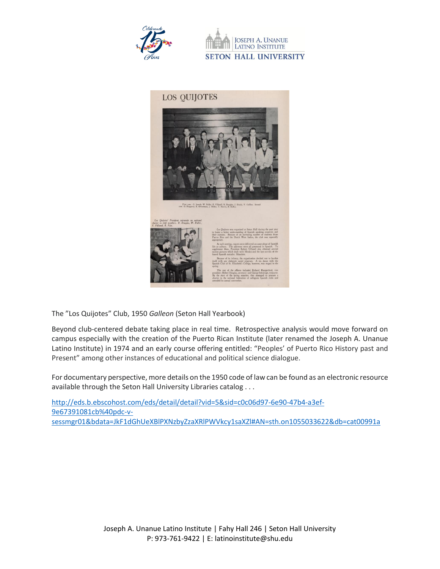

**JOSEPH A. UNANUE** LATINO INSTITUTE **SETON HALL UNIVERSITY** 





.<br>First row: G. Joseph, W. Fuller, F. Villamil, R. Douglas, J. Doudy, V. Ga.<br>row: G. Haggerry, R. Silvertman, J. Miller, T. Harris, R. Ruffus.



The "Los Quijotes" Club, 1950 *Galleon* (Seton Hall Yearbook)

Beyond club-centered debate taking place in real time. Retrospective analysis would move forward on campus especially with the creation of the Puerto Rican Institute (later renamed the Joseph A. Unanue Latino Institute) in 1974 and an early course offering entitled: "Peoples' of Puerto Rico History past and Present" among other instances of educational and political science dialogue.

For documentary perspective, more details on the 1950 code of law can be found as an electronic resource available through the Seton Hall University Libraries catalog . . .

[http://eds.b.ebscohost.com/eds/detail/detail?vid=5&sid=c0c06d97-6e90-47b4-a3ef-](http://eds.b.ebscohost.com/eds/detail/detail?vid=5&sid=c0c06d97-6e90-47b4-a3ef-9e67391081cb%40pdc-v-sessmgr01&bdata=JkF1dGhUeXBlPXNzbyZzaXRlPWVkcy1saXZl#AN=sth.on1055033622&db=cat00991a)[9e67391081cb%40pdc-v](http://eds.b.ebscohost.com/eds/detail/detail?vid=5&sid=c0c06d97-6e90-47b4-a3ef-9e67391081cb%40pdc-v-sessmgr01&bdata=JkF1dGhUeXBlPXNzbyZzaXRlPWVkcy1saXZl#AN=sth.on1055033622&db=cat00991a)[sessmgr01&bdata=JkF1dGhUeXBlPXNzbyZzaXRlPWVkcy1saXZl#AN=sth.on1055033622&db=cat00991a](http://eds.b.ebscohost.com/eds/detail/detail?vid=5&sid=c0c06d97-6e90-47b4-a3ef-9e67391081cb%40pdc-v-sessmgr01&bdata=JkF1dGhUeXBlPXNzbyZzaXRlPWVkcy1saXZl#AN=sth.on1055033622&db=cat00991a)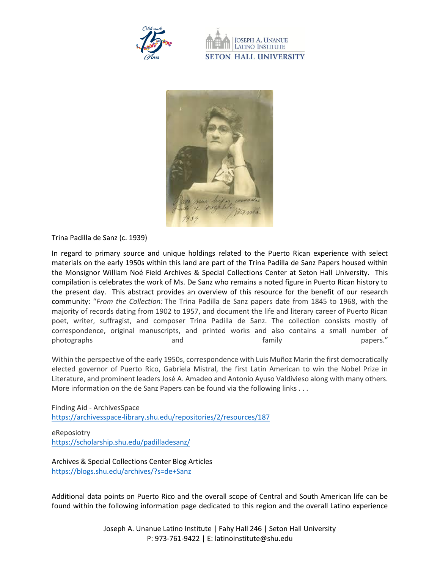

**LATINO INSTITUTE SETON HALL UNIVERSITY** 



Trina Padilla de Sanz (c. 1939)

In regard to primary source and unique holdings related to the Puerto Rican experience with select materials on the early 1950s within this land are part of the Trina Padilla de Sanz Papers housed within the Monsignor William Noé Field Archives & Special Collections Center at Seton Hall University. This compilation is celebrates the work of Ms. De Sanz who remains a noted figure in Puerto Rican history to the present day. This abstract provides an overview of this resource for the benefit of our research community: "*From the Collection:* The Trina Padilla de Sanz papers date from 1845 to 1968, with the majority of records dating from 1902 to 1957, and document the life and literary career of Puerto Rican poet, writer, suffragist, and composer Trina Padilla de Sanz. The collection consists mostly of correspondence, original manuscripts, and printed works and also contains a small number of photographs and and family papers."

Within the perspective of the early 1950s, correspondence with Luis Muñoz Marin the first democratically elected governor of Puerto Rico, Gabriela Mistral, the first Latin American to win the Nobel Prize in Literature, and prominent leaders José A. Amadeo and Antonio Ayuso Valdivieso along with many others. More information on the de Sanz Papers can be found via the following links . . .

Finding Aid - ArchivesSpace <https://archivesspace-library.shu.edu/repositories/2/resources/187>

eReposiotry <https://scholarship.shu.edu/padilladesanz/>

Archives & Special Collections Center Blog Articles <https://blogs.shu.edu/archives/?s=de+Sanz>

Additional data points on Puerto Rico and the overall scope of Central and South American life can be found within the following information page dedicated to this region and the overall Latino experience